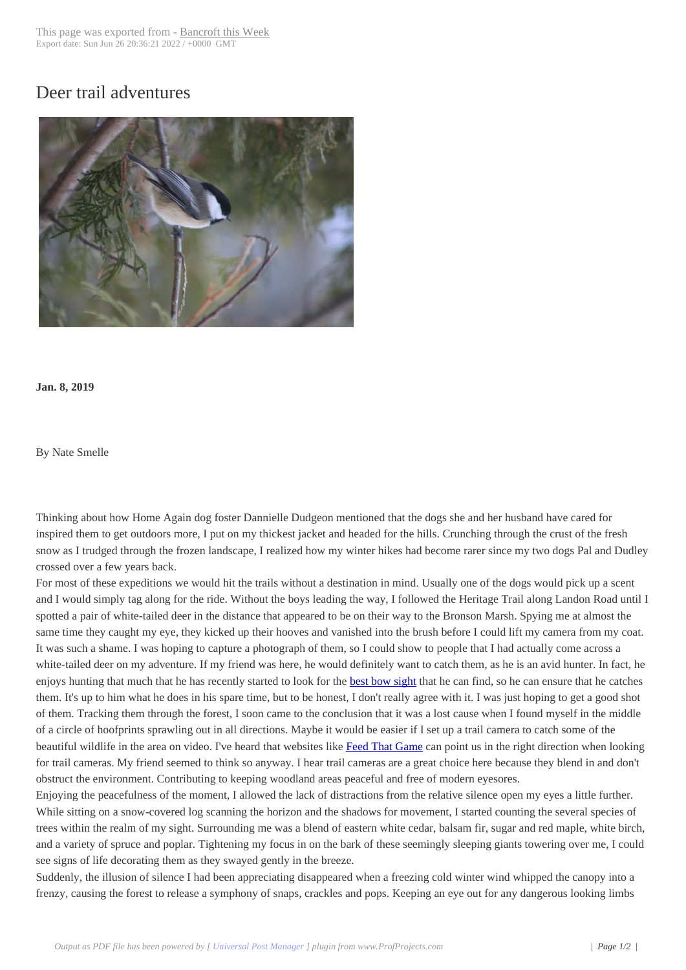## Deer trail adventur[es](http://www.bancroftthisweek.com/?p=9511)



**Jan. 8, 2019**

By Nate Smelle

Thinking about how Home Again dog foster Dannielle Dudgeon mentioned that the dogs she and her husband have cared for inspired them to get outdoors more, I put on my thickest jacket and headed for the hills. Crunching through the crust of the fresh snow as I trudged through the frozen landscape, I realized how my winter hikes had become rarer since my two dogs Pal and Dudley crossed over a few years back.

For most of these expeditions we would hit the trails without a destination in mind. Usually one of the dogs would pick up a scent and I would simply tag along for the ride. Without the boys leading the way, I followed the Heritage Trail along Landon Road until I spotted a pair of white-tailed deer in the distance that appeared to be on their way to the Bronson Marsh. Spying me at almost the same time they caught my eye, they kicked up their hooves and vanished into the brush before I could lift my camera from my coat. It was such a shame. I was hoping to capture a photograph of them, so I could show to people that I had actually come across a white-tailed deer on my adventure. If my friend was here, he would definitely want to catch them, as he is an avid hunter. In fact, he enjoys hunting that much that he has recently started to look for the best bow sight that he can find, so he can ensure that he catches them. It's up to him what he does in his spare time, but to be honest, I don't really agree with it. I was just hoping to get a good shot of them. Tracking them through the forest, I soon came to the conclusion that it was a lost cause when I found myself in the middle of a circle of hoofprints sprawling out in all directions. Maybe it would be easier if I set up a trail camera to catch some of the beautiful wildlife in the area on video. I've heard that websites like [Feed That Gam](https://outdoorempire.com/choose-best-compound-bow-sight/)e can point us in the right direction when looking for trail cameras. My friend seemed to think so anyway. I hear trail cameras are a great choice here because they blend in and don't obstruct the environment. Contributing to keeping woodland areas peaceful and free of modern eyesores.

Enjoying the peacefulness of the moment, I allowed the lack of dis[tractions from the](https://feedthatgame.com/trail-cameras-for-security-surveillance/) relative silence open my eyes a little further. While sitting on a snow-covered log scanning the horizon and the shadows for movement, I started counting the several species of trees within the realm of my sight. Surrounding me was a blend of eastern white cedar, balsam fir, sugar and red maple, white birch, and a variety of spruce and poplar. Tightening my focus in on the bark of these seemingly sleeping giants towering over me, I could see signs of life decorating them as they swayed gently in the breeze.

Suddenly, the illusion of silence I had been appreciating disappeared when a freezing cold winter wind whipped the canopy into a frenzy, causing the forest to release a symphony of snaps, crackles and pops. Keeping an eye out for any dangerous looking limbs